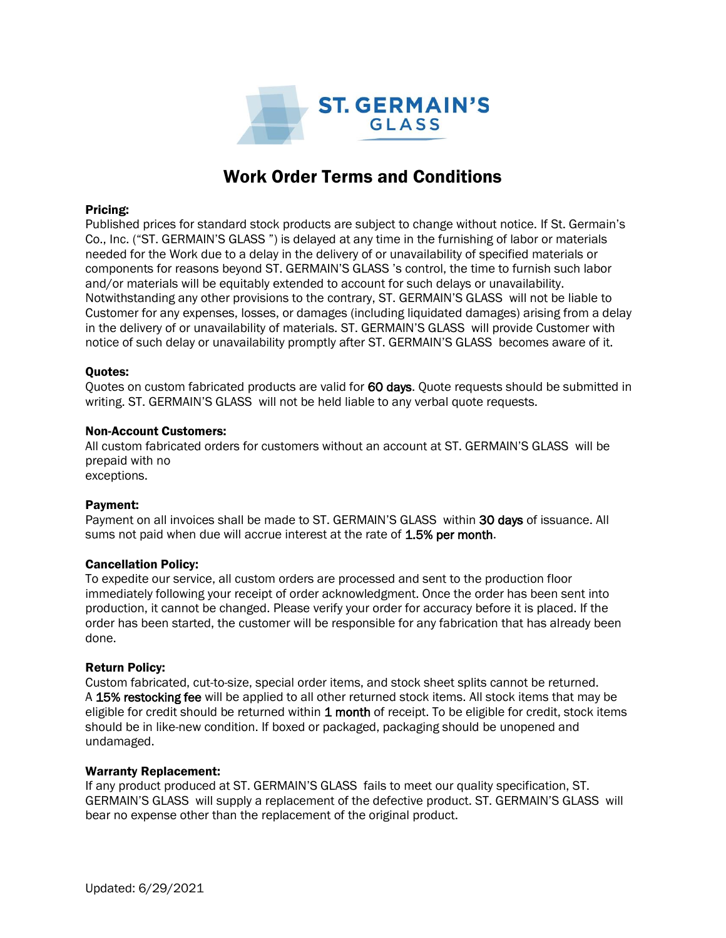

# Work Order Terms and Conditions

#### Pricing:

Published prices for standard stock products are subject to change without notice. If St. Germain's Co., Inc. ("ST. GERMAIN'S GLASS ") is delayed at any time in the furnishing of labor or materials needed for the Work due to a delay in the delivery of or unavailability of specified materials or components for reasons beyond ST. GERMAIN'S GLASS 's control, the time to furnish such labor and/or materials will be equitably extended to account for such delays or unavailability. Notwithstanding any other provisions to the contrary, ST. GERMAIN'S GLASS will not be liable to Customer for any expenses, losses, or damages (including liquidated damages) arising from a delay in the delivery of or unavailability of materials. ST. GERMAIN'S GLASS will provide Customer with notice of such delay or unavailability promptly after ST. GERMAIN'S GLASS becomes aware of it.

## Quotes:

Quotes on custom fabricated products are valid for 60 days. Quote requests should be submitted in writing. ST. GERMAIN'S GLASS will not be held liable to any verbal quote requests.

#### Non-Account Customers:

All custom fabricated orders for customers without an account at ST. GERMAIN'S GLASS will be prepaid with no exceptions.

## Payment:

Payment on all invoices shall be made to ST. GERMAIN'S GLASS within 30 days of issuance. All sums not paid when due will accrue interest at the rate of 1.5% per month.

## Cancellation Policy:

To expedite our service, all custom orders are processed and sent to the production floor immediately following your receipt of order acknowledgment. Once the order has been sent into production, it cannot be changed. Please verify your order for accuracy before it is placed. If the order has been started, the customer will be responsible for any fabrication that has already been done.

#### Return Policy:

Custom fabricated, cut-to-size, special order items, and stock sheet splits cannot be returned. A 15% restocking fee will be applied to all other returned stock items. All stock items that may be eligible for credit should be returned within 1 month of receipt. To be eligible for credit, stock items should be in like-new condition. If boxed or packaged, packaging should be unopened and undamaged.

#### Warranty Replacement:

If any product produced at ST. GERMAIN'S GLASS fails to meet our quality specification, ST. GERMAIN'S GLASS will supply a replacement of the defective product. ST. GERMAIN'S GLASS will bear no expense other than the replacement of the original product.